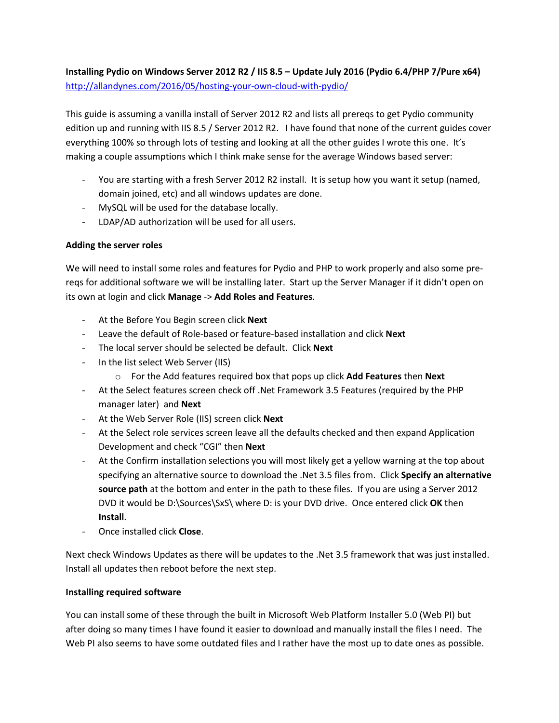# Installing Pydio on Windows Server 2012 R2 / IIS 8.5 – Update July 2016 (Pydio 6.4/PHP 7/Pure x64) http://allandynes.com/2016/05/hosting-your-own-cloud-with-pydio/

This guide is assuming a vanilla install of Server 2012 R2 and lists all prereqs to get Pydio community edition up and running with IIS 8.5 / Server 2012 R2. I have found that none of the current guides cover everything 100% so through lots of testing and looking at all the other guides I wrote this one. It's making a couple assumptions which I think make sense for the average Windows based server:

- You are starting with a fresh Server 2012 R2 install. It is setup how you want it setup (named, domain joined, etc) and all windows updates are done.
- MySQL will be used for the database locally.
- LDAP/AD authorization will be used for all users.

# Adding the server roles

We will need to install some roles and features for Pydio and PHP to work properly and also some prereqs for additional software we will be installing later. Start up the Server Manager if it didn't open on its own at login and click Manage -> Add Roles and Features.

- At the Before You Begin screen click **Next**
- Leave the default of Role-based or feature-based installation and click **Next**
- The local server should be selected be default. Click Next
- In the list select Web Server (IIS)
	- $\circ$  For the Add features required box that pops up click Add Features then Next
- At the Select features screen check off .Net Framework 3.5 Features (required by the PHP manager later) and **Next**
- At the Web Server Role (IIS) screen click **Next**
- At the Select role services screen leave all the defaults checked and then expand Application Development and check "CGI" then Next
- At the Confirm installation selections you will most likely get a yellow warning at the top about specifying an alternative source to download the .Net 3.5 files from. Click Specify an alternative source path at the bottom and enter in the path to these files. If you are using a Server 2012 DVD it would be D:\Sources\SxS\ where D: is your DVD drive. Once entered click OK then Install.
- Once installed click Close.

Next check Windows Updates as there will be updates to the .Net 3.5 framework that was just installed. Install all updates then reboot before the next step.

# Installing required software

You can install some of these through the built in Microsoft Web Platform Installer 5.0 (Web PI) but after doing so many times I have found it easier to download and manually install the files I need. The Web PI also seems to have some outdated files and I rather have the most up to date ones as possible.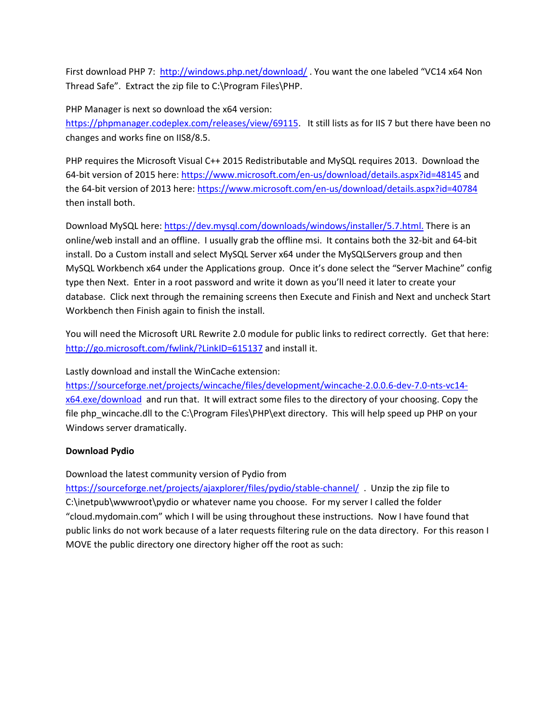First download PHP 7: http://windows.php.net/download/ . You want the one labeled "VC14 x64 Non Thread Safe". Extract the zip file to C:\Program Files\PHP.

PHP Manager is next so download the x64 version:

https://phpmanager.codeplex.com/releases/view/69115. It still lists as for IIS 7 but there have been no changes and works fine on IIS8/8.5.

PHP requires the Microsoft Visual C++ 2015 Redistributable and MySQL requires 2013. Download the 64-bit version of 2015 here: https://www.microsoft.com/en-us/download/details.aspx?id=48145 and the 64-bit version of 2013 here: https://www.microsoft.com/en-us/download/details.aspx?id=40784 then install both.

Download MySQL here: https://dev.mysql.com/downloads/windows/installer/5.7.html. There is an online/web install and an offline. I usually grab the offline msi. It contains both the 32-bit and 64-bit install. Do a Custom install and select MySQL Server x64 under the MySQLServers group and then MySQL Workbench x64 under the Applications group. Once it's done select the "Server Machine" config type then Next. Enter in a root password and write it down as you'll need it later to create your database. Click next through the remaining screens then Execute and Finish and Next and uncheck Start Workbench then Finish again to finish the install.

You will need the Microsoft URL Rewrite 2.0 module for public links to redirect correctly. Get that here: http://go.microsoft.com/fwlink/?LinkID=615137 and install it.

Lastly download and install the WinCache extension:

https://sourceforge.net/projects/wincache/files/development/wincache-2.0.0.6-dev-7.0-nts-vc14 x64.exe/download and run that. It will extract some files to the directory of your choosing. Copy the file php\_wincache.dll to the C:\Program Files\PHP\ext directory. This will help speed up PHP on your Windows server dramatically.

# Download Pydio

Download the latest community version of Pydio from

https://sourceforge.net/projects/ajaxplorer/files/pydio/stable-channel/ . Unzip the zip file to C:\inetpub\wwwroot\pydio or whatever name you choose. For my server I called the folder "cloud.mydomain.com" which I will be using throughout these instructions. Now I have found that public links do not work because of a later requests filtering rule on the data directory. For this reason I MOVE the public directory one directory higher off the root as such: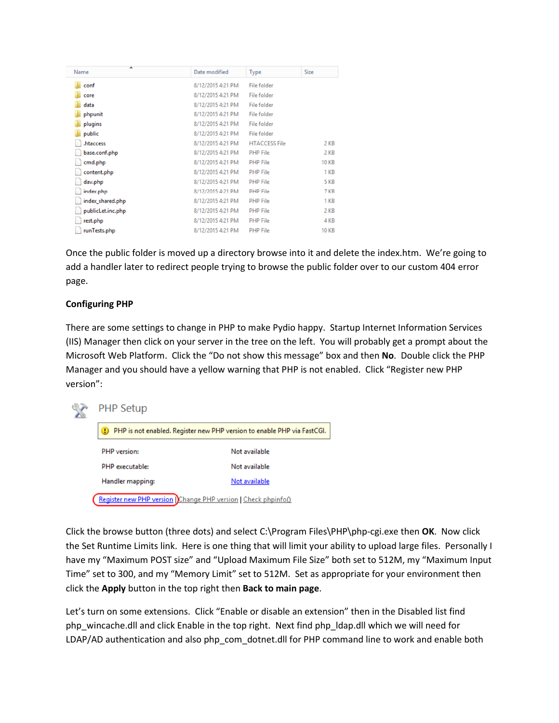| A<br>Name         | Date modified     | Type                 | Size         |
|-------------------|-------------------|----------------------|--------------|
| conf              | 8/12/2015 4:21 PM | File folder          |              |
| core              | 8/12/2015 4:21 PM | File folder          |              |
| data              | 8/12/2015 4:21 PM | File folder          |              |
| phpunit           | 8/12/2015 4:21 PM | File folder          |              |
| plugins           | 8/12/2015 4:21 PM | File folder          |              |
| public            | 8/12/2015 4:21 PM | File folder          |              |
| .htaccess         | 8/12/2015 4:21 PM | <b>HTACCESS File</b> | 2 KB         |
| base.conf.php     | 8/12/2015 4:21 PM | <b>PHP File</b>      | 2 KB         |
| cmd.php           | 8/12/2015 4:21 PM | <b>PHP File</b>      | <b>10 KB</b> |
| content.php       | 8/12/2015 4:21 PM | <b>PHP File</b>      | 1 KB         |
| dav.php           | 8/12/2015 4:21 PM | <b>PHP File</b>      | 5 KB         |
| index.php         | 8/12/2015 4:21 PM | <b>PHP File</b>      | 7 KB         |
| index_shared.php  | 8/12/2015 4:21 PM | <b>PHP File</b>      | 1 KB         |
| publicLet.inc.php | 8/12/2015 4:21 PM | <b>PHP File</b>      | 2 KB         |
| rest.php          | 8/12/2015 4:21 PM | <b>PHP File</b>      | 4 KB         |
| runTests.php      | 8/12/2015 4:21 PM | <b>PHP File</b>      | <b>10 KB</b> |
|                   |                   |                      |              |

Once the public folder is moved up a directory browse into it and delete the index.htm. We're going to add a handler later to redirect people trying to browse the public folder over to our custom 404 error page.

## Configuring PHP

There are some settings to change in PHP to make Pydio happy. Startup Internet Information Services (IIS) Manager then click on your server in the tree on the left. You will probably get a prompt about the Microsoft Web Platform. Click the "Do not show this message" box and then No. Double click the PHP Manager and you should have a yellow warning that PHP is not enabled. Click "Register new PHP version":



Click the browse button (three dots) and select C:\Program Files\PHP\php-cgi.exe then OK. Now click the Set Runtime Limits link. Here is one thing that will limit your ability to upload large files. Personally I have my "Maximum POST size" and "Upload Maximum File Size" both set to 512M, my "Maximum Input Time" set to 300, and my "Memory Limit" set to 512M. Set as appropriate for your environment then click the Apply button in the top right then Back to main page.

Let's turn on some extensions. Click "Enable or disable an extension" then in the Disabled list find php\_wincache.dll and click Enable in the top right. Next find php\_ldap.dll which we will need for LDAP/AD authentication and also php\_com\_dotnet.dll for PHP command line to work and enable both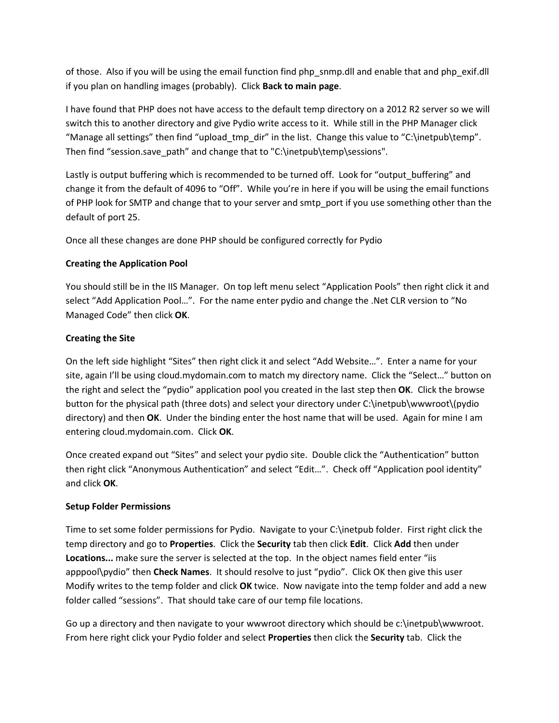of those. Also if you will be using the email function find php\_snmp.dll and enable that and php\_exif.dll if you plan on handling images (probably). Click Back to main page.

I have found that PHP does not have access to the default temp directory on a 2012 R2 server so we will switch this to another directory and give Pydio write access to it. While still in the PHP Manager click "Manage all settings" then find "upload tmp dir" in the list. Change this value to "C:\inetpub\temp". Then find "session.save path" and change that to "C:\inetpub\temp\sessions".

Lastly is output buffering which is recommended to be turned off. Look for "output\_buffering" and change it from the default of 4096 to "Off". While you're in here if you will be using the email functions of PHP look for SMTP and change that to your server and smtp\_port if you use something other than the default of port 25.

Once all these changes are done PHP should be configured correctly for Pydio

## Creating the Application Pool

You should still be in the IIS Manager. On top left menu select "Application Pools" then right click it and select "Add Application Pool…". For the name enter pydio and change the .Net CLR version to "No Managed Code" then click OK.

## Creating the Site

On the left side highlight "Sites" then right click it and select "Add Website…". Enter a name for your site, again I'll be using cloud.mydomain.com to match my directory name. Click the "Select…" button on the right and select the "pydio" application pool you created in the last step then OK. Click the browse button for the physical path (three dots) and select your directory under C:\inetpub\wwwroot\(pydio directory) and then OK. Under the binding enter the host name that will be used. Again for mine I am entering cloud.mydomain.com. Click OK.

Once created expand out "Sites" and select your pydio site. Double click the "Authentication" button then right click "Anonymous Authentication" and select "Edit…". Check off "Application pool identity" and click OK.

# Setup Folder Permissions

Time to set some folder permissions for Pydio. Navigate to your C:\inetpub folder. First right click the temp directory and go to **Properties**. Click the **Security** tab then click **Edit.** Click Add then under Locations... make sure the server is selected at the top. In the object names field enter "iis apppool\pydio" then Check Names. It should resolve to just "pydio". Click OK then give this user Modify writes to the temp folder and click OK twice. Now navigate into the temp folder and add a new folder called "sessions". That should take care of our temp file locations.

Go up a directory and then navigate to your wwwroot directory which should be c:\inetpub\wwwroot. From here right click your Pydio folder and select Properties then click the Security tab. Click the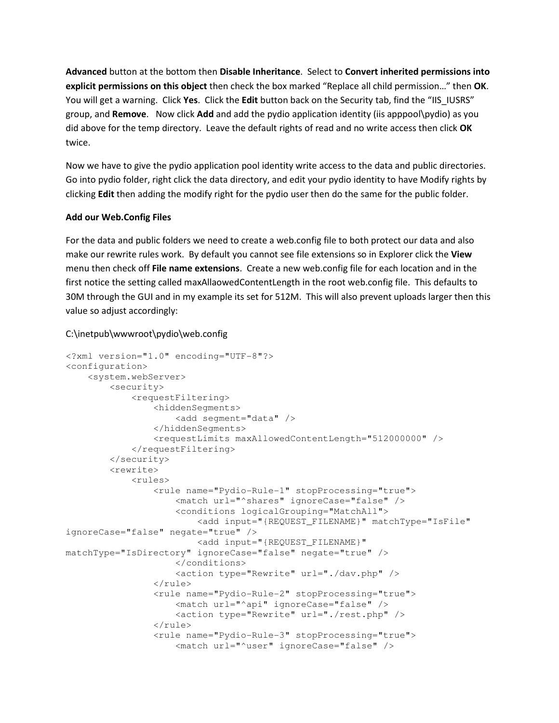Advanced button at the bottom then Disable Inheritance. Select to Convert inherited permissions into explicit permissions on this object then check the box marked "Replace all child permission..." then OK. You will get a warning. Click Yes. Click the Edit button back on the Security tab, find the "IIS\_IUSRS" group, and Remove. Now click Add and add the pydio application identity (iis apppool\pydio) as you did above for the temp directory. Leave the default rights of read and no write access then click OK twice.

Now we have to give the pydio application pool identity write access to the data and public directories. Go into pydio folder, right click the data directory, and edit your pydio identity to have Modify rights by clicking Edit then adding the modify right for the pydio user then do the same for the public folder.

### Add our Web.Config Files

For the data and public folders we need to create a web.config file to both protect our data and also make our rewrite rules work. By default you cannot see file extensions so in Explorer click the View menu then check off File name extensions. Create a new web.config file for each location and in the first notice the setting called maxAllaowedContentLength in the root web.config file. This defaults to 30M through the GUI and in my example its set for 512M. This will also prevent uploads larger then this value so adjust accordingly:

# C:\inetpub\wwwroot\pydio\web.config

```
<?xml version="1.0" encoding="UTF-8"?> 
<configuration> 
     <system.webServer> 
         <security> 
             <requestFiltering> 
                  <hiddenSegments> 
                      <add segment="data" /> 
                  </hiddenSegments> 
                  <requestLimits maxAllowedContentLength="512000000" /> 
              </requestFiltering> 
         </security> 
         <rewrite> 
              <rules> 
                  <rule name="Pydio-Rule-1" stopProcessing="true"> 
                       <match url="^shares" ignoreCase="false" /> 
                      <conditions logicalGrouping="MatchAll"> 
                          <add input="{REQUEST_FILENAME}" matchType="IsFile" 
ignoreCase="false" negate="true" /> 
                          <add input="{REQUEST_FILENAME}" 
matchType="IsDirectory" ignoreCase="false" negate="true" /> 
                      </conditions> 
                       <action type="Rewrite" url="./dav.php" /> 
                  </rule> 
                  <rule name="Pydio-Rule-2" stopProcessing="true"> 
                       <match url="^api" ignoreCase="false" /> 
                      <action type="Rewrite" url="./rest.php" /> 
                 \langlerule\rangle <rule name="Pydio-Rule-3" stopProcessing="true"> 
                       <match url="^user" ignoreCase="false" />
```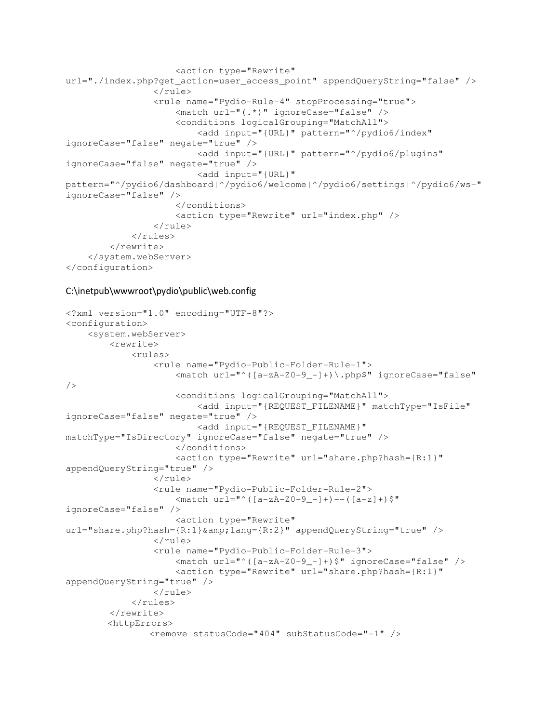```
 <action type="Rewrite" 
url="./index.php?get_action=user_access_point" appendQueryString="false" /> 
                  </rule> 
                  <rule name="Pydio-Rule-4" stopProcessing="true"> 
                      <match url="(.*)" ignoreCase="false" /> 
                      <conditions logicalGrouping="MatchAll"> 
                          <add input="{URL}" pattern="^/pydio6/index" 
ignoreCase="false" negate="true" /> 
                          <add input="{URL}" pattern="^/pydio6/plugins" 
ignoreCase="false" negate="true" /> 
                          <add input="{URL}" 
pattern="^/pydio6/dashboard|^/pydio6/welcome|^/pydio6/settings|^/pydio6/ws-" 
ignoreCase="false" /> 
                      </conditions> 
                      <action type="Rewrite" url="index.php" /> 
                  </rule> 
              </rules> 
         </rewrite> 
     </system.webServer> 
</configuration>
```
#### C:\inetpub\wwwroot\pydio\public\web.config

```
<?xml version="1.0" encoding="UTF-8"?> 
<configuration> 
     <system.webServer> 
         <rewrite> 
             <rules> 
                  <rule name="Pydio-Public-Folder-Rule-1"> 
                      <match url="^([a-zA-Z0-9_-]+)\.php$" ignoreCase="false" 
/> 
                      <conditions logicalGrouping="MatchAll"> 
                          <add input="{REQUEST_FILENAME}" matchType="IsFile" 
ignoreCase="false" negate="true" /> 
                          <add input="{REQUEST_FILENAME}" 
matchType="IsDirectory" ignoreCase="false" negate="true" /> 
                      </conditions> 
                      <action type="Rewrite" url="share.php?hash={R:1}" 
appendQueryString="true" /> 
                 \langlerule>
                  <rule name="Pydio-Public-Folder-Rule-2"> 
                     <match url="^([a-zA-Z0-9 -]+)--([a-z]+)$"
ignoreCase="false" /> 
                      <action type="Rewrite" 
url="share.php?hash={R:1}&lang={R:2}" appendQueryString="true" />
                  </rule> 
                  <rule name="Pydio-Public-Folder-Rule-3"> 
                      <match url="^([a-zA-Z0-9_-]+)$" ignoreCase="false" /> 
                      <action type="Rewrite" url="share.php?hash={R:1}" 
appendQueryString="true" /> 
                 \langlerule>
              </rules> 
         </rewrite> 
         <httpErrors> 
                 <remove statusCode="404" subStatusCode="-1" />
```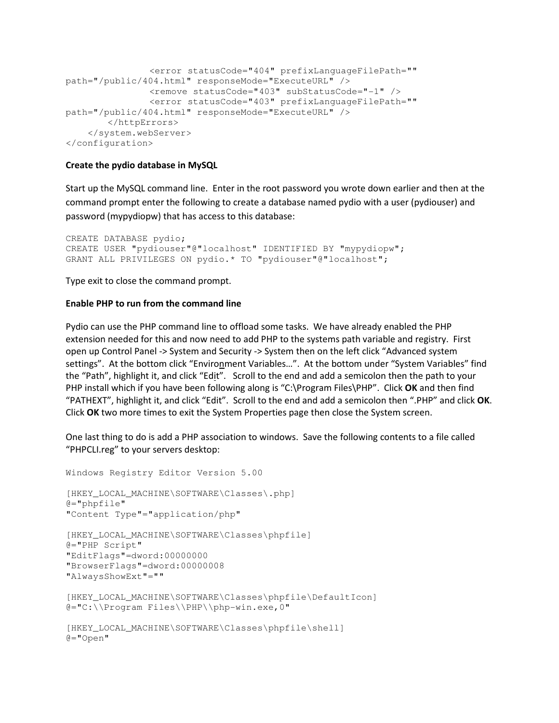```
 <error statusCode="404" prefixLanguageFilePath=""
path="/public/404.html" responseMode="ExecuteURL" /> 
                <remove statusCode="403" subStatusCode="-1" /> 
                 <error statusCode="403" prefixLanguageFilePath=""
path="/public/404.html" responseMode="ExecuteURL" /> 
        </httpErrors> 
     </system.webServer> 
</configuration>
```
#### Create the pydio database in MySQL

Start up the MySQL command line. Enter in the root password you wrote down earlier and then at the command prompt enter the following to create a database named pydio with a user (pydiouser) and password (mypydiopw) that has access to this database:

```
CREATE DATABASE pydio; 
CREATE USER "pydiouser"@"localhost" IDENTIFIED BY "mypydiopw"; 
GRANT ALL PRIVILEGES ON pydio.* TO "pydiouser"@"localhost";
```
Type exit to close the command prompt.

#### Enable PHP to run from the command line

Pydio can use the PHP command line to offload some tasks. We have already enabled the PHP extension needed for this and now need to add PHP to the systems path variable and registry. First open up Control Panel -> System and Security -> System then on the left click "Advanced system settings". At the bottom click "Environment Variables…". At the bottom under "System Variables" find the "Path", highlight it, and click "Edit". Scroll to the end and add a semicolon then the path to your PHP install which if you have been following along is "C:\Program Files\PHP". Click OK and then find "PATHEXT", highlight it, and click "Edit". Scroll to the end and add a semicolon then ".PHP" and click OK. Click OK two more times to exit the System Properties page then close the System screen.

One last thing to do is add a PHP association to windows. Save the following contents to a file called "PHPCLI.reg" to your servers desktop:

```
Windows Registry Editor Version 5.00 
[HKEY_LOCAL_MACHINE\SOFTWARE\Classes\.php] 
A = "phpfile""Content Type"="application/php" 
[HKEY_LOCAL_MACHINE\SOFTWARE\Classes\phpfile] 
@="PHP Script" 
"EditFlags"=dword:00000000 
"BrowserFlags"=dword:00000008 
"AlwaysShowExt"=""
[HKEY_LOCAL_MACHINE\SOFTWARE\Classes\phpfile\DefaultIcon] 
@="C:\\Program Files\\PHP\\php-win.exe,0" 
[HKEY_LOCAL_MACHINE\SOFTWARE\Classes\phpfile\shell]
@="Open"
```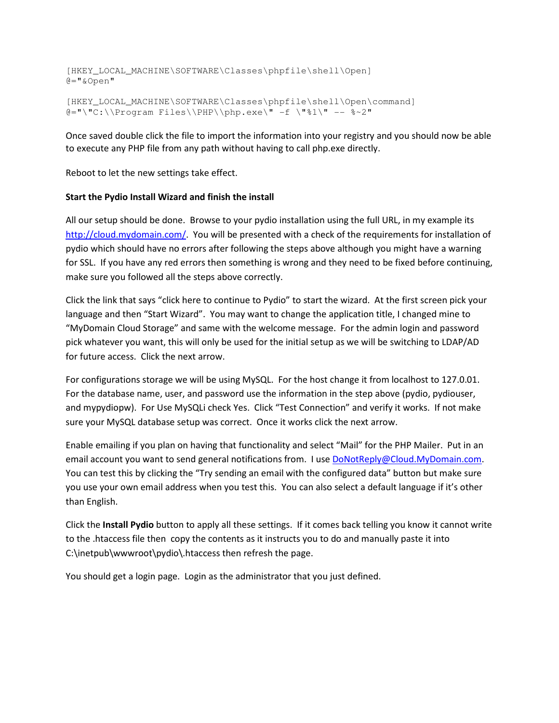[HKEY\_LOCAL\_MACHINE\SOFTWARE\Classes\phpfile\shell\Open] @="&Open"

[HKEY\_LOCAL\_MACHINE\SOFTWARE\Classes\phpfile\shell\Open\command] @="\"C:\\Program Files\\PHP\\php.exe\" -f \"%1\" -- %~2"

Once saved double click the file to import the information into your registry and you should now be able to execute any PHP file from any path without having to call php.exe directly.

Reboot to let the new settings take effect.

#### Start the Pydio Install Wizard and finish the install

All our setup should be done. Browse to your pydio installation using the full URL, in my example its http://cloud.mydomain.com/. You will be presented with a check of the requirements for installation of pydio which should have no errors after following the steps above although you might have a warning for SSL. If you have any red errors then something is wrong and they need to be fixed before continuing, make sure you followed all the steps above correctly.

Click the link that says "click here to continue to Pydio" to start the wizard. At the first screen pick your language and then "Start Wizard". You may want to change the application title, I changed mine to "MyDomain Cloud Storage" and same with the welcome message. For the admin login and password pick whatever you want, this will only be used for the initial setup as we will be switching to LDAP/AD for future access. Click the next arrow.

For configurations storage we will be using MySQL. For the host change it from localhost to 127.0.01. For the database name, user, and password use the information in the step above (pydio, pydiouser, and mypydiopw). For Use MySQLi check Yes. Click "Test Connection" and verify it works. If not make sure your MySQL database setup was correct. Once it works click the next arrow.

Enable emailing if you plan on having that functionality and select "Mail" for the PHP Mailer. Put in an email account you want to send general notifications from. I use DoNotReply@Cloud.MyDomain.com. You can test this by clicking the "Try sending an email with the configured data" button but make sure you use your own email address when you test this. You can also select a default language if it's other than English.

Click the Install Pydio button to apply all these settings. If it comes back telling you know it cannot write to the .htaccess file then copy the contents as it instructs you to do and manually paste it into C:\inetpub\wwwroot\pydio\.htaccess then refresh the page.

You should get a login page. Login as the administrator that you just defined.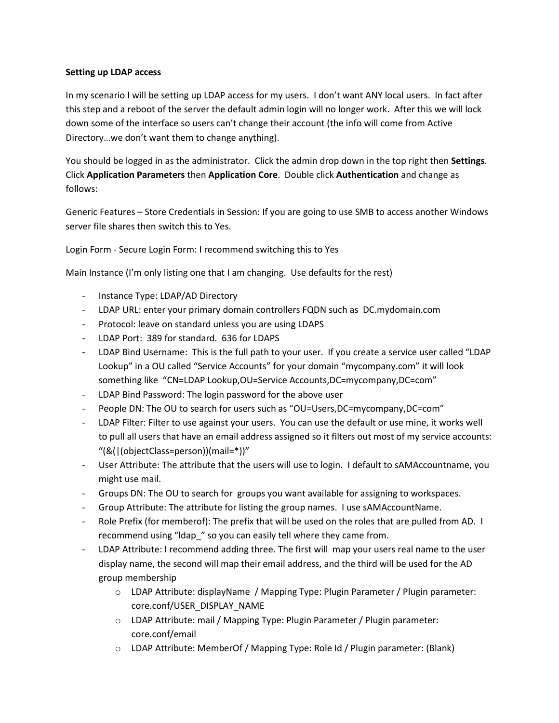### Setting up LDAP access

In my scenario I will be setting up LDAP access for my users. I don't want ANY local users. In fact after this step and a reboot of the server the default admin login will no longer work. After this we will lock down some of the interface so users can't change their account (the info will come from Active Directory…we don't want them to change anything).

You should be logged in as the administrator. Click the admin drop down in the top right then Settings. Click Application Parameters then Application Core. Double click Authentication and change as follows:

Generic Features – Store Credentials in Session: If you are going to use SMB to access another Windows server file shares then switch this to Yes.

Login Form - Secure Login Form: I recommend switching this to Yes

Main Instance (I'm only listing one that I am changing. Use defaults for the rest)

- Instance Type: LDAP/AD Directory
- LDAP URL: enter your primary domain controllers FQDN such as DC.mydomain.com
- Protocol: leave on standard unless you are using LDAPS
- LDAP Port: 389 for standard. 636 for LDAPS
- LDAP Bind Username: This is the full path to your user. If you create a service user called "LDAP Lookup" in a OU called "Service Accounts" for your domain "mycompany.com" it will look something like "CN=LDAP Lookup,OU=Service Accounts,DC=mycompany,DC=com"
- LDAP Bind Password: The login password for the above user
- People DN: The OU to search for users such as "OU=Users, DC=mycompany, DC=com"
- LDAP Filter: Filter to use against your users. You can use the default or use mine, it works well to pull all users that have an email address assigned so it filters out most of my service accounts: "(&(|(objectClass=person))(mail=\*))"
- User Attribute: The attribute that the users will use to login. I default to sAMAccountname, you might use mail.
- Groups DN: The OU to search for groups you want available for assigning to workspaces.
- Group Attribute: The attribute for listing the group names. I use sAMAccountName.
- Role Prefix (for memberof): The prefix that will be used on the roles that are pulled from AD. I recommend using "ldap\_" so you can easily tell where they came from.
- LDAP Attribute: I recommend adding three. The first will map your users real name to the user display name, the second will map their email address, and the third will be used for the AD group membership
	- o LDAP Attribute: displayName / Mapping Type: Plugin Parameter / Plugin parameter: core.conf/USER\_DISPLAY\_NAME
	- o LDAP Attribute: mail / Mapping Type: Plugin Parameter / Plugin parameter: core.conf/email
	- o LDAP Attribute: MemberOf / Mapping Type: Role Id / Plugin parameter: (Blank)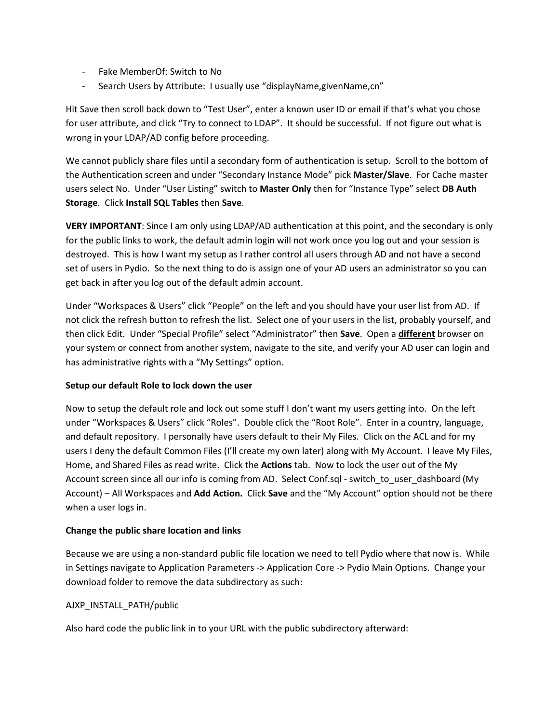- Fake MemberOf: Switch to No
- Search Users by Attribute: I usually use "displayName,givenName,cn"

Hit Save then scroll back down to "Test User", enter a known user ID or email if that's what you chose for user attribute, and click "Try to connect to LDAP". It should be successful. If not figure out what is wrong in your LDAP/AD config before proceeding.

We cannot publicly share files until a secondary form of authentication is setup. Scroll to the bottom of the Authentication screen and under "Secondary Instance Mode" pick Master/Slave. For Cache master users select No. Under "User Listing" switch to Master Only then for "Instance Type" select DB Auth Storage. Click Install SQL Tables then Save.

VERY IMPORTANT: Since I am only using LDAP/AD authentication at this point, and the secondary is only for the public links to work, the default admin login will not work once you log out and your session is destroyed. This is how I want my setup as I rather control all users through AD and not have a second set of users in Pydio. So the next thing to do is assign one of your AD users an administrator so you can get back in after you log out of the default admin account.

Under "Workspaces & Users" click "People" on the left and you should have your user list from AD. If not click the refresh button to refresh the list. Select one of your users in the list, probably yourself, and then click Edit. Under "Special Profile" select "Administrator" then Save. Open a different browser on your system or connect from another system, navigate to the site, and verify your AD user can login and has administrative rights with a "My Settings" option.

### Setup our default Role to lock down the user

Now to setup the default role and lock out some stuff I don't want my users getting into. On the left under "Workspaces & Users" click "Roles". Double click the "Root Role". Enter in a country, language, and default repository. I personally have users default to their My Files. Click on the ACL and for my users I deny the default Common Files (I'll create my own later) along with My Account. I leave My Files, Home, and Shared Files as read write. Click the **Actions** tab. Now to lock the user out of the My Account screen since all our info is coming from AD. Select Conf.sql - switch to user dashboard (My Account) – All Workspaces and Add Action. Click Save and the "My Account" option should not be there when a user logs in.

### Change the public share location and links

Because we are using a non-standard public file location we need to tell Pydio where that now is. While in Settings navigate to Application Parameters -> Application Core -> Pydio Main Options. Change your download folder to remove the data subdirectory as such:

# AJXP\_INSTALL\_PATH/public

Also hard code the public link in to your URL with the public subdirectory afterward: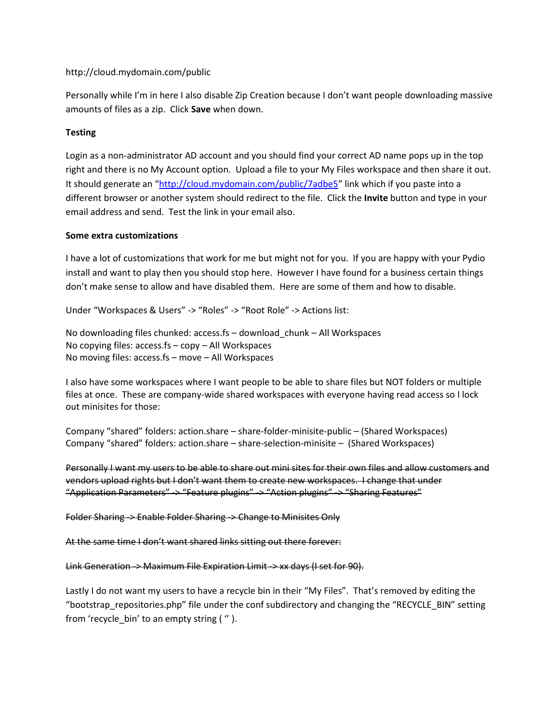### http://cloud.mydomain.com/public

Personally while I'm in here I also disable Zip Creation because I don't want people downloading massive amounts of files as a zip. Click Save when down.

## **Testing**

Login as a non-administrator AD account and you should find your correct AD name pops up in the top right and there is no My Account option. Upload a file to your My Files workspace and then share it out. It should generate an "http://cloud.mydomain.com/public/7adbe5" link which if you paste into a different browser or another system should redirect to the file. Click the Invite button and type in your email address and send. Test the link in your email also.

### Some extra customizations

I have a lot of customizations that work for me but might not for you. If you are happy with your Pydio install and want to play then you should stop here. However I have found for a business certain things don't make sense to allow and have disabled them. Here are some of them and how to disable.

Under "Workspaces & Users" -> "Roles" -> "Root Role" -> Actions list:

No downloading files chunked: access.fs – download\_chunk – All Workspaces No copying files: access.fs – copy – All Workspaces No moving files: access.fs – move – All Workspaces

I also have some workspaces where I want people to be able to share files but NOT folders or multiple files at once. These are company-wide shared workspaces with everyone having read access so I lock out minisites for those:

Company "shared" folders: action.share – share-folder-minisite-public – (Shared Workspaces) Company "shared" folders: action.share – share-selection-minisite – (Shared Workspaces)

Personally I want my users to be able to share out mini sites for their own files and allow customers and vendors upload rights but I don't want them to create new workspaces. I change that under "Application Parameters" -> "Feature plugins" -> "Action plugins" -> "Sharing Features"

Folder Sharing -> Enable Folder Sharing -> Change to Minisites Only

At the same time I don't want shared links sitting out there forever:

Link Generation -> Maximum File Expiration Limit -> xx days (I set for 90).

Lastly I do not want my users to have a recycle bin in their "My Files". That's removed by editing the "bootstrap repositories.php" file under the conf subdirectory and changing the "RECYCLE\_BIN" setting from 'recycle bin' to an empty string ( ").